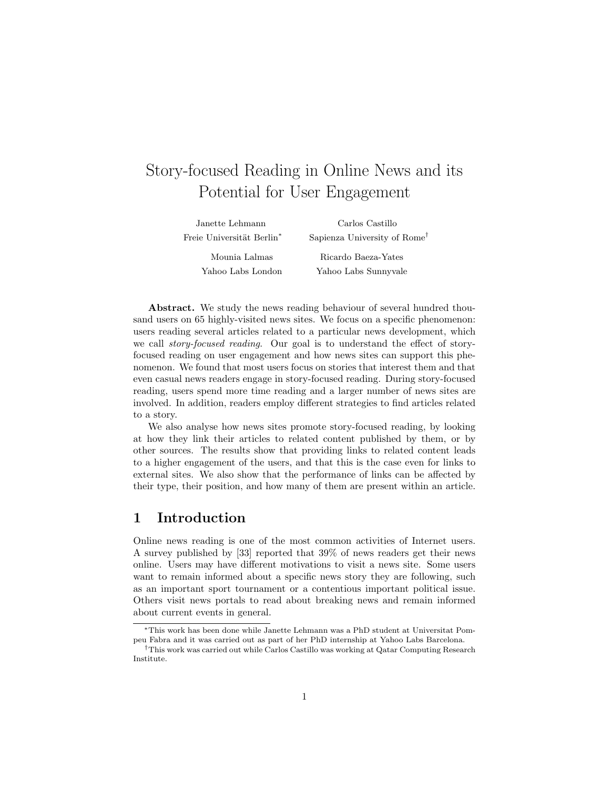# Story-focused Reading in Online News and its Potential for User Engagement

| Janette Lehmann                       | Carlos Castillo                          |
|---------------------------------------|------------------------------------------|
| Freie Universität Berlin <sup>*</sup> | Sapienza University of Rome <sup>†</sup> |
| Mounia Lalmas                         | Ricardo Baeza-Yates                      |
| Yahoo Labs London                     | Yahoo Labs Sunnyvale                     |

Abstract. We study the news reading behaviour of several hundred thousand users on 65 highly-visited news sites. We focus on a specific phenomenon: users reading several articles related to a particular news development, which we call *story-focused reading*. Our goal is to understand the effect of storyfocused reading on user engagement and how news sites can support this phenomenon. We found that most users focus on stories that interest them and that even casual news readers engage in story-focused reading. During story-focused reading, users spend more time reading and a larger number of news sites are involved. In addition, readers employ different strategies to find articles related to a story.

We also analyse how news sites promote story-focused reading, by looking at how they link their articles to related content published by them, or by other sources. The results show that providing links to related content leads to a higher engagement of the users, and that this is the case even for links to external sites. We also show that the performance of links can be affected by their type, their position, and how many of them are present within an article.

### 1 Introduction

Online news reading is one of the most common activities of Internet users. A survey published by [33] reported that 39% of news readers get their news online. Users may have different motivations to visit a news site. Some users want to remain informed about a specific news story they are following, such as an important sport tournament or a contentious important political issue. Others visit news portals to read about breaking news and remain informed about current events in general.

<sup>∗</sup>This work has been done while Janette Lehmann was a PhD student at Universitat Pompeu Fabra and it was carried out as part of her PhD internship at Yahoo Labs Barcelona.

<sup>†</sup>This work was carried out while Carlos Castillo was working at Qatar Computing Research Institute.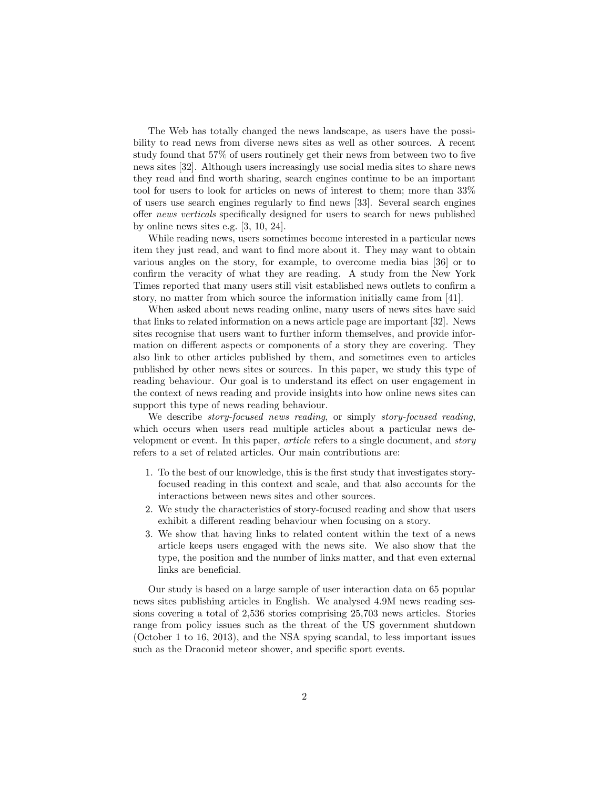The Web has totally changed the news landscape, as users have the possibility to read news from diverse news sites as well as other sources. A recent study found that 57% of users routinely get their news from between two to five news sites [32]. Although users increasingly use social media sites to share news they read and find worth sharing, search engines continue to be an important tool for users to look for articles on news of interest to them; more than 33% of users use search engines regularly to find news [33]. Several search engines offer news verticals specifically designed for users to search for news published by online news sites e.g. [3, 10, 24].

While reading news, users sometimes become interested in a particular news item they just read, and want to find more about it. They may want to obtain various angles on the story, for example, to overcome media bias [36] or to confirm the veracity of what they are reading. A study from the New York Times reported that many users still visit established news outlets to confirm a story, no matter from which source the information initially came from [41].

When asked about news reading online, many users of news sites have said that links to related information on a news article page are important [32]. News sites recognise that users want to further inform themselves, and provide information on different aspects or components of a story they are covering. They also link to other articles published by them, and sometimes even to articles published by other news sites or sources. In this paper, we study this type of reading behaviour. Our goal is to understand its effect on user engagement in the context of news reading and provide insights into how online news sites can support this type of news reading behaviour.

We describe *story-focused news reading*, or simply *story-focused reading*, which occurs when users read multiple articles about a particular news development or event. In this paper, article refers to a single document, and story refers to a set of related articles. Our main contributions are:

- 1. To the best of our knowledge, this is the first study that investigates storyfocused reading in this context and scale, and that also accounts for the interactions between news sites and other sources.
- 2. We study the characteristics of story-focused reading and show that users exhibit a different reading behaviour when focusing on a story.
- 3. We show that having links to related content within the text of a news article keeps users engaged with the news site. We also show that the type, the position and the number of links matter, and that even external links are beneficial.

Our study is based on a large sample of user interaction data on 65 popular news sites publishing articles in English. We analysed 4.9M news reading sessions covering a total of 2,536 stories comprising 25,703 news articles. Stories range from policy issues such as the threat of the US government shutdown (October 1 to 16, 2013), and the NSA spying scandal, to less important issues such as the Draconid meteor shower, and specific sport events.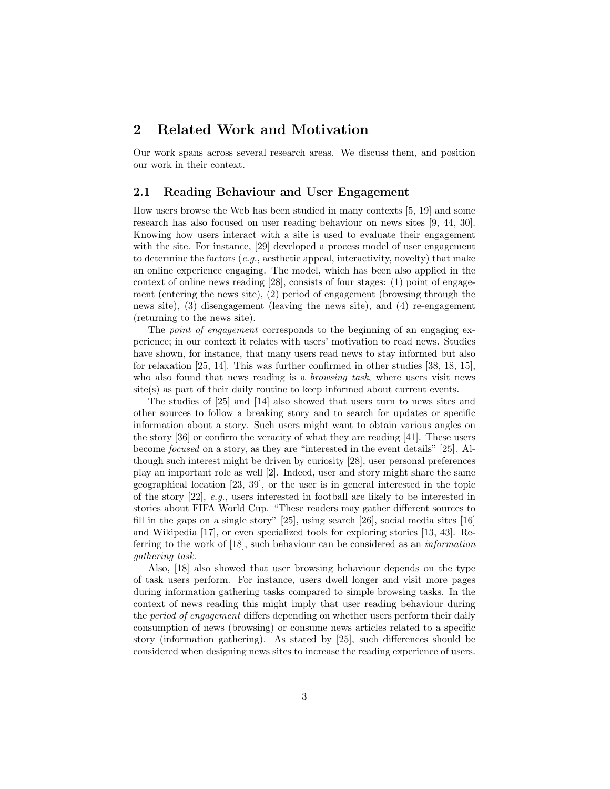## 2 Related Work and Motivation

Our work spans across several research areas. We discuss them, and position our work in their context.

#### 2.1 Reading Behaviour and User Engagement

How users browse the Web has been studied in many contexts [5, 19] and some research has also focused on user reading behaviour on news sites [9, 44, 30]. Knowing how users interact with a site is used to evaluate their engagement with the site. For instance, [29] developed a process model of user engagement to determine the factors (e.g., aesthetic appeal, interactivity, novelty) that make an online experience engaging. The model, which has been also applied in the context of online news reading [28], consists of four stages: (1) point of engagement (entering the news site), (2) period of engagement (browsing through the news site), (3) disengagement (leaving the news site), and (4) re-engagement (returning to the news site).

The *point of engagement* corresponds to the beginning of an engaging experience; in our context it relates with users' motivation to read news. Studies have shown, for instance, that many users read news to stay informed but also for relaxation [25, 14]. This was further confirmed in other studies [38, 18, 15], who also found that news reading is a *browsing task*, where users visit news site(s) as part of their daily routine to keep informed about current events.

The studies of [25] and [14] also showed that users turn to news sites and other sources to follow a breaking story and to search for updates or specific information about a story. Such users might want to obtain various angles on the story [36] or confirm the veracity of what they are reading [41]. These users become focused on a story, as they are "interested in the event details" [25]. Although such interest might be driven by curiosity [28], user personal preferences play an important role as well [2]. Indeed, user and story might share the same geographical location [23, 39], or the user is in general interested in the topic of the story  $[22]$ , e.g., users interested in football are likely to be interested in stories about FIFA World Cup. "These readers may gather different sources to fill in the gaps on a single story" [25], using search [26], social media sites [16] and Wikipedia [17], or even specialized tools for exploring stories [13, 43]. Referring to the work of [18], such behaviour can be considered as an information gathering task.

Also, [18] also showed that user browsing behaviour depends on the type of task users perform. For instance, users dwell longer and visit more pages during information gathering tasks compared to simple browsing tasks. In the context of news reading this might imply that user reading behaviour during the period of engagement differs depending on whether users perform their daily consumption of news (browsing) or consume news articles related to a specific story (information gathering). As stated by [25], such differences should be considered when designing news sites to increase the reading experience of users.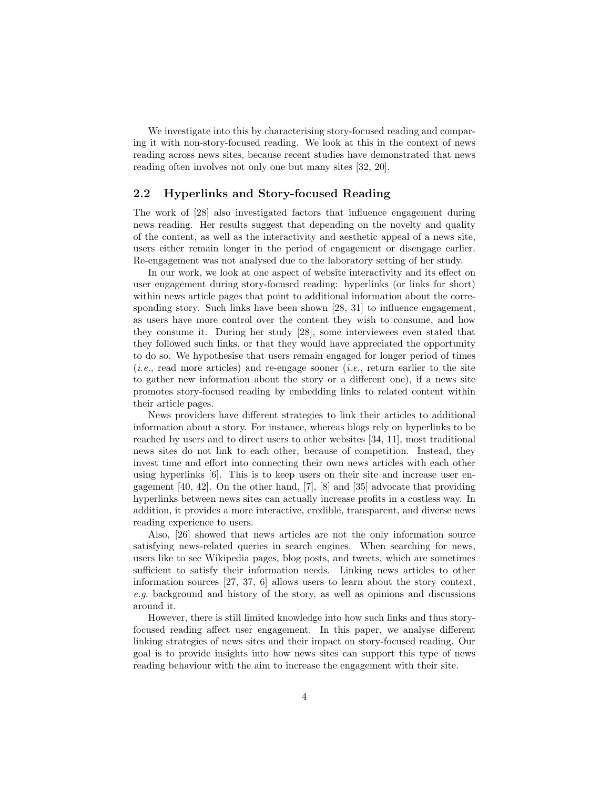We investigate into this by characterising story-focused reading and comparing it with non-story-focused reading. We look at this in the context of news reading across news sites, because recent studies have demonstrated that news reading often involves not only one but many sites [32, 20].

### 2.2 Hyperlinks and Story-focused Reading

The work of [28] also investigated factors that influence engagement during news reading. Her results suggest that depending on the novelty and quality of the content, as well as the interactivity and aesthetic appeal of a news site, users either remain longer in the period of engagement or disengage earlier. Re-engagement was not analysed due to the laboratory setting of her study.

In our work, we look at one aspect of website interactivity and its effect on user engagement during story-focused reading: hyperlinks (or links for short) within news article pages that point to additional information about the corresponding story. Such links have been shown [28, 31] to influence engagement, as users have more control over the content they wish to consume, and how they consume it. During her study [28], some interviewees even stated that they followed such links, or that they would have appreciated the opportunity to do so. We hypothesise that users remain engaged for longer period of times  $(i.e., read more articles)$  and re-engage sooner  $(i.e., return earlier to the site)$ to gather new information about the story or a different one), if a news site promotes story-focused reading by embedding links to related content within their article pages.

News providers have different strategies to link their articles to additional information about a story. For instance, whereas blogs rely on hyperlinks to be reached by users and to direct users to other websites [34, 11], most traditional news sites do not link to each other, because of competition. Instead, they invest time and effort into connecting their own news articles with each other using hyperlinks [6]. This is to keep users on their site and increase user engagement [40, 42]. On the other hand, [7], [8] and [35] advocate that providing hyperlinks between news sites can actually increase profits in a costless way. In addition, it provides a more interactive, credible, transparent, and diverse news reading experience to users.

Also, [26] showed that news articles are not the only information source satisfying news-related queries in search engines. When searching for news, users like to see Wikipedia pages, blog posts, and tweets, which are sometimes sufficient to satisfy their information needs. Linking news articles to other information sources [27, 37, 6] allows users to learn about the story context, e.g. background and history of the story, as well as opinions and discussions around it.

However, there is still limited knowledge into how such links and thus storyfocused reading affect user engagement. In this paper, we analyse different linking strategies of news sites and their impact on story-focused reading. Our goal is to provide insights into how news sites can support this type of news reading behaviour with the aim to increase the engagement with their site.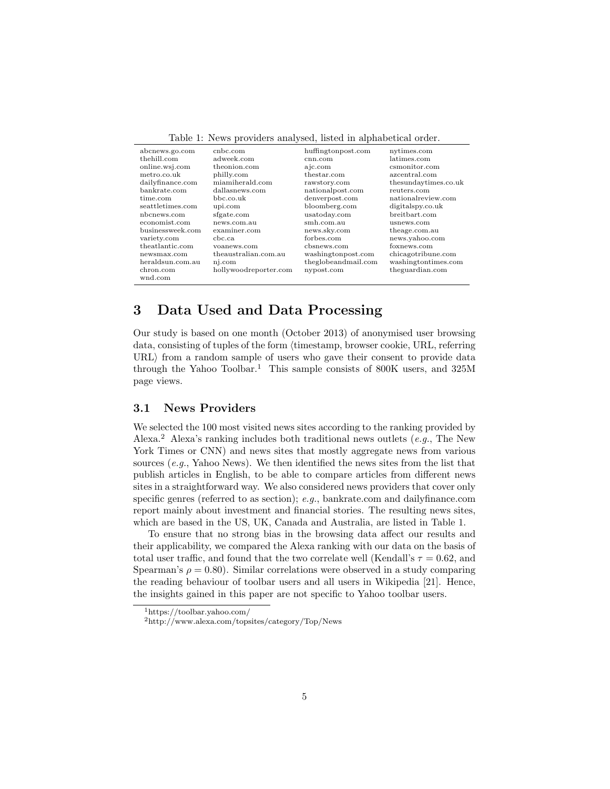| raphy r. Froms providers analysed, instea in alphabetical order. |                       |                     |                      |  |  |
|------------------------------------------------------------------|-----------------------|---------------------|----------------------|--|--|
| abcnews.go.com                                                   | cnbc.com              | huffingtonpost.com  | nytimes.com          |  |  |
| thehill.com                                                      | adweek.com            | cnn.com             | latimes.com          |  |  |
| online.wsj.com                                                   | theonion.com          | a jc.com            | csmonitor.com        |  |  |
| metro.co.uk                                                      | philly.com            | thestar.com         | azcentral.com        |  |  |
| dailyfinance.com                                                 | miamiherald.com       | rawstory.com        | thesundaytimes.co.uk |  |  |
| bankrate.com                                                     | dallasnews.com        | nationalpost.com    | reuters.com          |  |  |
| time.com                                                         | bbc.co.uk             | denverpost.com      | nationalreview.com   |  |  |
| seattletimes.com                                                 | upi.com               | bloomberg.com       | digitalspy.co.uk     |  |  |
| nbcnews.com                                                      | sfgate.com            | usatoday.com        | breitbart.com        |  |  |
| economist.com                                                    | news.com.au           | smh.com.au          | usnews.com           |  |  |
| businessweek.com                                                 | examiner.com          | news.sky.com        | theage.com.au        |  |  |
| variety.com                                                      | chc.ca.               | forbes.com          | news.yahoo.com       |  |  |
| theatlantic.com                                                  | voanews.com           | cbsnews.com         | foxnews.com          |  |  |
| newsmax.com                                                      | theaustralian.com.au  | washingtonpost.com  | chicagotribune.com   |  |  |
| heraldsun.com.au                                                 | nj.com                | theglobeandmail.com | washingtontimes.com  |  |  |
| chron.com                                                        | hollywoodreporter.com | nypost.com          | theguardian.com      |  |  |
| wnd.com                                                          |                       |                     |                      |  |  |

Table 1: News providers analysed, listed in alphabetical order.

## 3 Data Used and Data Processing

Our study is based on one month (October 2013) of anonymised user browsing data, consisting of tuples of the form (timestamp, browser cookie, URL, referring  $URL\$  from a random sample of users who gave their consent to provide data through the Yahoo Toolbar.<sup>1</sup> This sample consists of 800K users, and 325M page views.

### 3.1 News Providers

We selected the 100 most visited news sites according to the ranking provided by Alexa.<sup>2</sup> Alexa's ranking includes both traditional news outlets (e.g., The New York Times or CNN) and news sites that mostly aggregate news from various sources  $(e,q)$ . Yahoo News). We then identified the news sites from the list that publish articles in English, to be able to compare articles from different news sites in a straightforward way. We also considered news providers that cover only specific genres (referred to as section); e.g., bankrate.com and dailyfinance.com report mainly about investment and financial stories. The resulting news sites, which are based in the US, UK, Canada and Australia, are listed in Table 1.

To ensure that no strong bias in the browsing data affect our results and their applicability, we compared the Alexa ranking with our data on the basis of total user traffic, and found that the two correlate well (Kendall's  $\tau = 0.62$ , and Spearman's  $\rho = 0.80$ . Similar correlations were observed in a study comparing the reading behaviour of toolbar users and all users in Wikipedia [21]. Hence, the insights gained in this paper are not specific to Yahoo toolbar users.

<sup>1</sup>https://toolbar.yahoo.com/

<sup>2</sup>http://www.alexa.com/topsites/category/Top/News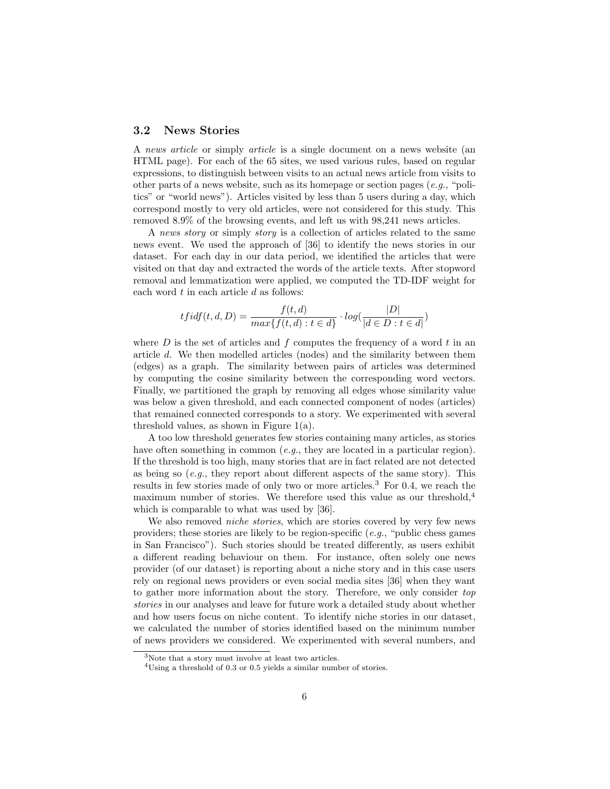### 3.2 News Stories

A news article or simply article is a single document on a news website (an HTML page). For each of the 65 sites, we used various rules, based on regular expressions, to distinguish between visits to an actual news article from visits to other parts of a news website, such as its homepage or section pages  $(e.g., "poli-)$ tics" or "world news"). Articles visited by less than 5 users during a day, which correspond mostly to very old articles, were not considered for this study. This removed 8.9% of the browsing events, and left us with 98,241 news articles.

A news story or simply story is a collection of articles related to the same news event. We used the approach of [36] to identify the news stories in our dataset. For each day in our data period, we identified the articles that were visited on that day and extracted the words of the article texts. After stopword removal and lemmatization were applied, we computed the TD-IDF weight for each word  $t$  in each article  $d$  as follows:

$$
tfidf(t, d, D) = \frac{f(t, d)}{max{f(t, d) : t \in d} \cdot log(\frac{|D|}{|d \in D : t \in d|})
$$

where  $D$  is the set of articles and  $f$  computes the frequency of a word  $t$  in an article d. We then modelled articles (nodes) and the similarity between them (edges) as a graph. The similarity between pairs of articles was determined by computing the cosine similarity between the corresponding word vectors. Finally, we partitioned the graph by removing all edges whose similarity value was below a given threshold, and each connected component of nodes (articles) that remained connected corresponds to a story. We experimented with several threshold values, as shown in Figure 1(a).

A too low threshold generates few stories containing many articles, as stories have often something in common (e.g., they are located in a particular region). If the threshold is too high, many stories that are in fact related are not detected as being so  $(e,q)$ , they report about different aspects of the same story). This results in few stories made of only two or more articles.<sup>3</sup> For 0.4, we reach the maximum number of stories. We therefore used this value as our threshold,<sup>4</sup> which is comparable to what was used by [36].

We also removed niche stories, which are stories covered by very few news providers; these stories are likely to be region-specific  $(e,q, \text{``public chess games})$ in San Francisco"). Such stories should be treated differently, as users exhibit a different reading behaviour on them. For instance, often solely one news provider (of our dataset) is reporting about a niche story and in this case users rely on regional news providers or even social media sites [36] when they want to gather more information about the story. Therefore, we only consider top stories in our analyses and leave for future work a detailed study about whether and how users focus on niche content. To identify niche stories in our dataset, we calculated the number of stories identified based on the minimum number of news providers we considered. We experimented with several numbers, and

<sup>&</sup>lt;sup>3</sup>Note that a story must involve at least two articles.

 $^4\mathrm{Using}$  a threshold of 0.3 or 0.5 yields a similar number of stories.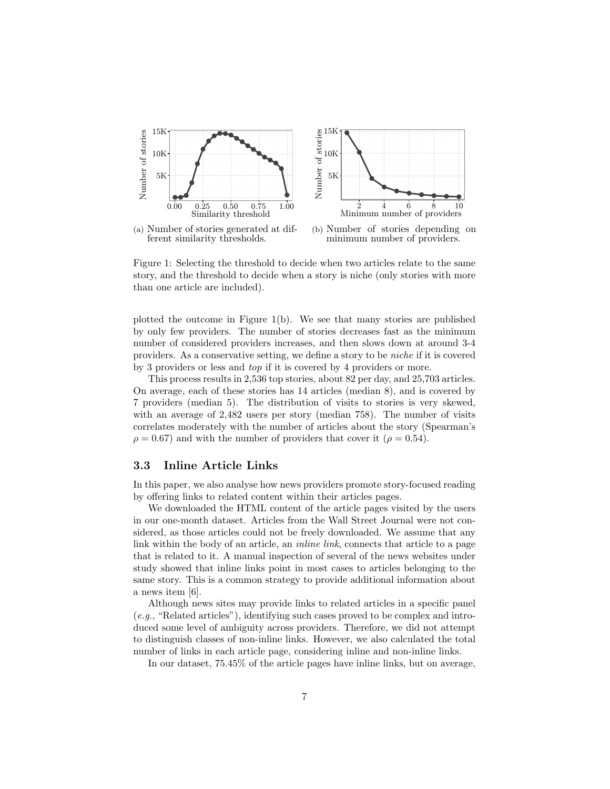

(a) Number of stories generated at different similarity thresholds.

(b) Number of stories depending on minimum number of providers.

Figure 1: Selecting the threshold to decide when two articles relate to the same story, and the threshold to decide when a story is niche (only stories with more than one article are included).

plotted the outcome in Figure 1(b). We see that many stories are published by only few providers. The number of stories decreases fast as the minimum number of considered providers increases, and then slows down at around 3-4 providers. As a conservative setting, we define a story to be niche if it is covered by 3 providers or less and top if it is covered by 4 providers or more.

This process results in 2,536 top stories, about 82 per day, and 25,703 articles. On average, each of these stories has 14 articles (median 8), and is covered by 7 providers (median 5). The distribution of visits to stories is very skewed, with an average of 2,482 users per story (median 758). The number of visits correlates moderately with the number of articles about the story (Spearman's  $\rho = 0.67$ ) and with the number of providers that cover it ( $\rho = 0.54$ ).

### 3.3 Inline Article Links

In this paper, we also analyse how news providers promote story-focused reading by offering links to related content within their articles pages.

We downloaded the HTML content of the article pages visited by the users in our one-month dataset. Articles from the Wall Street Journal were not considered, as those articles could not be freely downloaded. We assume that any link within the body of an article, an *inline link*, connects that article to a page that is related to it. A manual inspection of several of the news websites under study showed that inline links point in most cases to articles belonging to the same story. This is a common strategy to provide additional information about a news item [6].

Although news sites may provide links to related articles in a specific panel  $(e.g., "Related articles"), identifying such cases proved to be complex and intro$ duced some level of ambiguity across providers. Therefore, we did not attempt to distinguish classes of non-inline links. However, we also calculated the total number of links in each article page, considering inline and non-inline links.

In our dataset, 75.45% of the article pages have inline links, but on average,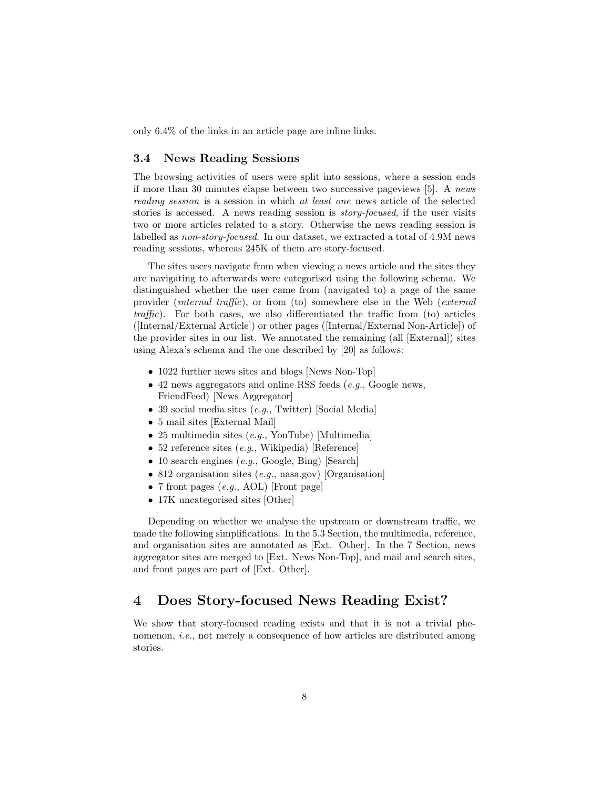only 6.4% of the links in an article page are inline links.

### 3.4 News Reading Sessions

The browsing activities of users were split into sessions, where a session ends if more than 30 minutes elapse between two successive pageviews [5]. A news reading session is a session in which at least one news article of the selected stories is accessed. A news reading session is story-focused, if the user visits two or more articles related to a story. Otherwise the news reading session is labelled as non-story-focused. In our dataset, we extracted a total of 4.9M news reading sessions, whereas 245K of them are story-focused.

The sites users navigate from when viewing a news article and the sites they are navigating to afterwards were categorised using the following schema. We distinguished whether the user came from (navigated to) a page of the same provider (internal traffic), or from (to) somewhere else in the Web (external  $traffic$ ). For both cases, we also differentiated the traffic from (to) articles ([Internal/External Article]) or other pages ([Internal/External Non-Article]) of the provider sites in our list. We annotated the remaining (all [External]) sites using Alexa's schema and the one described by [20] as follows:

- 1022 further news sites and blogs [News Non-Top]
- 42 news aggregators and online RSS feeds  $(e,q, G \text{oogle news},$ FriendFeed) [News Aggregator]
- 39 social media sites (e.g., Twitter) [Social Media]
- 5 mail sites [External Mail]
- 25 multimedia sites (e.g., YouTube) [Multimedia]
- 52 reference sites (e.g., Wikipedia) [Reference]
- 10 search engines  $(e.g., Google, Bing)$  [Search]
- 812 organisation sites (e.g., nasa.gov) [Organisation]
- 7 front pages  $(e.g., AOL)$  [Front page]
- 17K uncategorised sites [Other]

Depending on whether we analyse the upstream or downstream traffic, we made the following simplifications. In the 5.3 Section, the multimedia, reference, and organisation sites are annotated as [Ext. Other]. In the 7 Section, news aggregator sites are merged to [Ext. News Non-Top], and mail and search sites, and front pages are part of [Ext. Other].

### 4 Does Story-focused News Reading Exist?

We show that story-focused reading exists and that it is not a trivial phenomenon, *i.e.*, not merely a consequence of how articles are distributed among stories.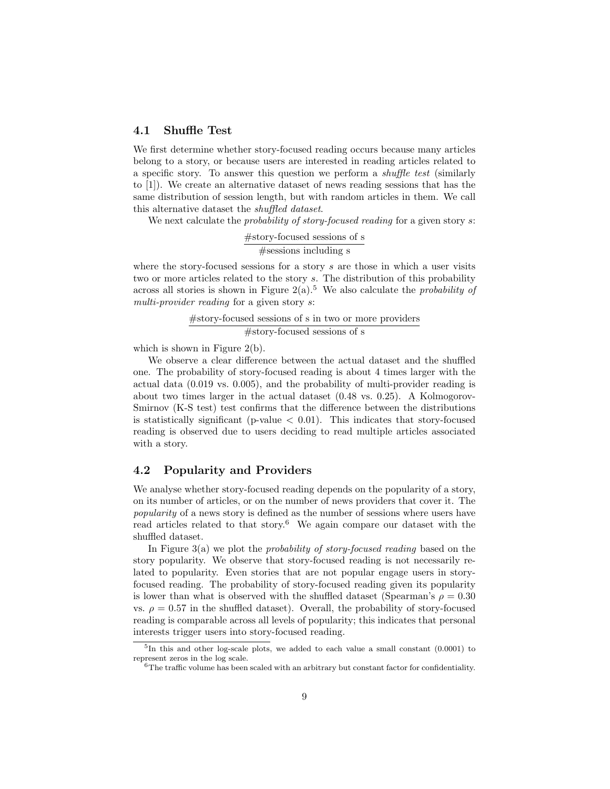#### 4.1 Shuffle Test

We first determine whether story-focused reading occurs because many articles belong to a story, or because users are interested in reading articles related to a specific story. To answer this question we perform a shuffle test (similarly to [1]). We create an alternative dataset of news reading sessions that has the same distribution of session length, but with random articles in them. We call this alternative dataset the shuffled dataset.

We next calculate the *probability of story-focused reading* for a given story s:

#story-focused sessions of s #sessions including s

where the story-focused sessions for a story  $s$  are those in which a user visits two or more articles related to the story s. The distribution of this probability across all stories is shown in Figure 2(a).<sup>5</sup> We also calculate the *probability of* multi-provider reading for a given story s:

> #story-focused sessions of s in two or more providers #story-focused sessions of s

which is shown in Figure 2(b).

We observe a clear difference between the actual dataset and the shuffled one. The probability of story-focused reading is about 4 times larger with the actual data (0.019 vs. 0.005), and the probability of multi-provider reading is about two times larger in the actual dataset (0.48 vs. 0.25). A Kolmogorov-Smirnov (K-S test) test confirms that the difference between the distributions is statistically significant (p-value  $< 0.01$ ). This indicates that story-focused reading is observed due to users deciding to read multiple articles associated with a story.

### 4.2 Popularity and Providers

We analyse whether story-focused reading depends on the popularity of a story, on its number of articles, or on the number of news providers that cover it. The popularity of a news story is defined as the number of sessions where users have read articles related to that story.<sup>6</sup> We again compare our dataset with the shuffled dataset.

In Figure 3(a) we plot the probability of story-focused reading based on the story popularity. We observe that story-focused reading is not necessarily related to popularity. Even stories that are not popular engage users in storyfocused reading. The probability of story-focused reading given its popularity is lower than what is observed with the shuffled dataset (Spearman's  $\rho = 0.30$ ) vs.  $\rho = 0.57$  in the shuffled dataset). Overall, the probability of story-focused reading is comparable across all levels of popularity; this indicates that personal interests trigger users into story-focused reading.

<sup>&</sup>lt;sup>5</sup>In this and other log-scale plots, we added to each value a small constant (0.0001) to represent zeros in the log scale.

 $6$ The traffic volume has been scaled with an arbitrary but constant factor for confidentiality.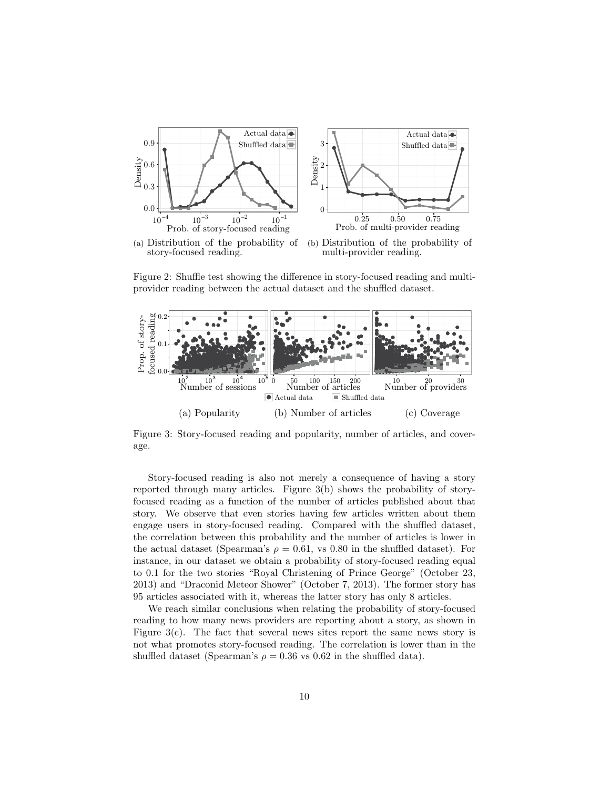

(a) Distribution of the probability of story-focused reading.

(b) Distribution of the probability of multi-provider reading.

Figure 2: Shuffle test showing the difference in story-focused reading and multiprovider reading between the actual dataset and the shuffled dataset.



Figure 3: Story-focused reading and popularity, number of articles, and coverage.

Story-focused reading is also not merely a consequence of having a story reported through many articles. Figure 3(b) shows the probability of storyfocused reading as a function of the number of articles published about that story. We observe that even stories having few articles written about them engage users in story-focused reading. Compared with the shuffled dataset, the correlation between this probability and the number of articles is lower in the actual dataset (Spearman's  $\rho = 0.61$ , vs 0.80 in the shuffled dataset). For instance, in our dataset we obtain a probability of story-focused reading equal to 0.1 for the two stories "Royal Christening of Prince George" (October 23, 2013) and "Draconid Meteor Shower" (October 7, 2013). The former story has 95 articles associated with it, whereas the latter story has only 8 articles.

We reach similar conclusions when relating the probability of story-focused reading to how many news providers are reporting about a story, as shown in Figure 3(c). The fact that several news sites report the same news story is not what promotes story-focused reading. The correlation is lower than in the shuffled dataset (Spearman's  $\rho = 0.36$  vs 0.62 in the shuffled data).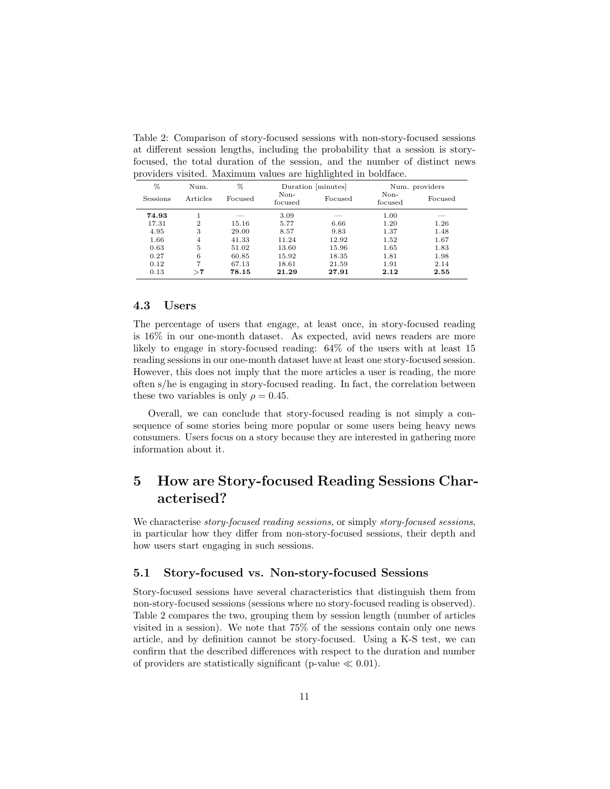Table 2: Comparison of story-focused sessions with non-story-focused sessions at different session lengths, including the probability that a session is storyfocused, the total duration of the session, and the number of distinct news providers visited. Maximum values are highlighted in boldface.

| %        | Num.           | %       | Duration [minutes] |         |                 |         |  | Num. providers |
|----------|----------------|---------|--------------------|---------|-----------------|---------|--|----------------|
| Sessions | Articles       | Focused | Non-<br>focused    | Focused | Non-<br>focused | Focused |  |                |
| 74.93    |                | --      | 3.09               | --      | 1.00            | _       |  |                |
| 17.31    | $\overline{2}$ | 15.16   | 5.77               | 6.66    | 1.20            | 1.26    |  |                |
| 4.95     | 3              | 29.00   | 8.57               | 9.83    | 1.37            | 1.48    |  |                |
| 1.66     | $\overline{4}$ | 41.33   | 11.24              | 12.92   | 1.52            | 1.67    |  |                |
| 0.63     | 5              | 51.02   | 13.60              | 15.96   | 1.65            | 1.83    |  |                |
| 0.27     | 6              | 60.85   | 15.92              | 18.35   | 1.81            | 1.98    |  |                |
| 0.12     | 7              | 67.13   | 18.61              | 21.59   | 1.91            | 2.14    |  |                |
| 0.13     | $\mathbf{>7}$  | 78.15   | 21.29              | 27.91   | 2.12            | 2.55    |  |                |

### 4.3 Users

The percentage of users that engage, at least once, in story-focused reading is 16% in our one-month dataset. As expected, avid news readers are more likely to engage in story-focused reading: 64% of the users with at least 15 reading sessions in our one-month dataset have at least one story-focused session. However, this does not imply that the more articles a user is reading, the more often s/he is engaging in story-focused reading. In fact, the correlation between these two variables is only  $\rho = 0.45$ .

Overall, we can conclude that story-focused reading is not simply a consequence of some stories being more popular or some users being heavy news consumers. Users focus on a story because they are interested in gathering more information about it.

## 5 How are Story-focused Reading Sessions Characterised?

We characterise *story-focused reading sessions*, or simply *story-focused sessions*, in particular how they differ from non-story-focused sessions, their depth and how users start engaging in such sessions.

### 5.1 Story-focused vs. Non-story-focused Sessions

Story-focused sessions have several characteristics that distinguish them from non-story-focused sessions (sessions where no story-focused reading is observed). Table 2 compares the two, grouping them by session length (number of articles visited in a session). We note that 75% of the sessions contain only one news article, and by definition cannot be story-focused. Using a K-S test, we can confirm that the described differences with respect to the duration and number of providers are statistically significant (p-value  $\ll 0.01$ ).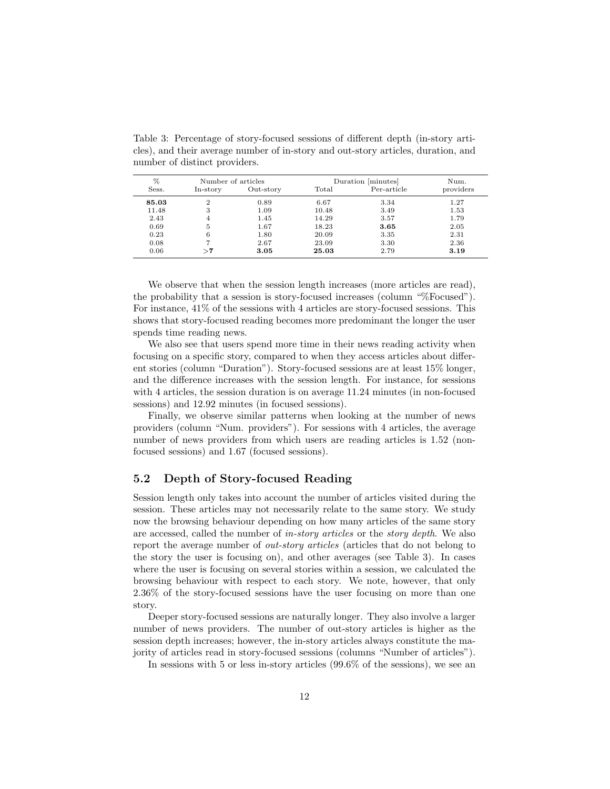cles), and their average number of in-story and out-story articles, duration, and number of distinct providers.

Table 3: Percentage of story-focused sessions of different depth (in-story arti-

| %     |               | Number of articles |       | Duration [minutes] | Num.      |
|-------|---------------|--------------------|-------|--------------------|-----------|
| Sess. | In-story      | Out-story          | Total | Per-article        | providers |
| 85.03 | 2             | 0.89               | 6.67  | 3.34               | 1.27      |
| 11.48 | 3             | 1.09               | 10.48 | 3.49               | 1.53      |
| 2.43  | 4             | 1.45               | 14.29 | 3.57               | 1.79      |
| 0.69  | 5             | 1.67               | 18.23 | 3.65               | 2.05      |
| 0.23  |               | 1.80               | 20.09 | 3.35               | 2.31      |
| 0.08  |               | 2.67               | 23.09 | 3.30               | 2.36      |
| 0.06  | $\mathbf{>7}$ | 3.05               | 25.03 | 2.79               | 3.19      |

We observe that when the session length increases (more articles are read), the probability that a session is story-focused increases (column "%Focused"). For instance, 41% of the sessions with 4 articles are story-focused sessions. This shows that story-focused reading becomes more predominant the longer the user spends time reading news.

We also see that users spend more time in their news reading activity when focusing on a specific story, compared to when they access articles about different stories (column "Duration"). Story-focused sessions are at least 15% longer, and the difference increases with the session length. For instance, for sessions with 4 articles, the session duration is on average 11.24 minutes (in non-focused sessions) and 12.92 minutes (in focused sessions).

Finally, we observe similar patterns when looking at the number of news providers (column "Num. providers"). For sessions with 4 articles, the average number of news providers from which users are reading articles is 1.52 (nonfocused sessions) and 1.67 (focused sessions).

### 5.2 Depth of Story-focused Reading

Session length only takes into account the number of articles visited during the session. These articles may not necessarily relate to the same story. We study now the browsing behaviour depending on how many articles of the same story are accessed, called the number of in-story articles or the story depth. We also report the average number of out-story articles (articles that do not belong to the story the user is focusing on), and other averages (see Table 3). In cases where the user is focusing on several stories within a session, we calculated the browsing behaviour with respect to each story. We note, however, that only 2.36% of the story-focused sessions have the user focusing on more than one story.

Deeper story-focused sessions are naturally longer. They also involve a larger number of news providers. The number of out-story articles is higher as the session depth increases; however, the in-story articles always constitute the majority of articles read in story-focused sessions (columns "Number of articles").

In sessions with 5 or less in-story articles (99.6% of the sessions), we see an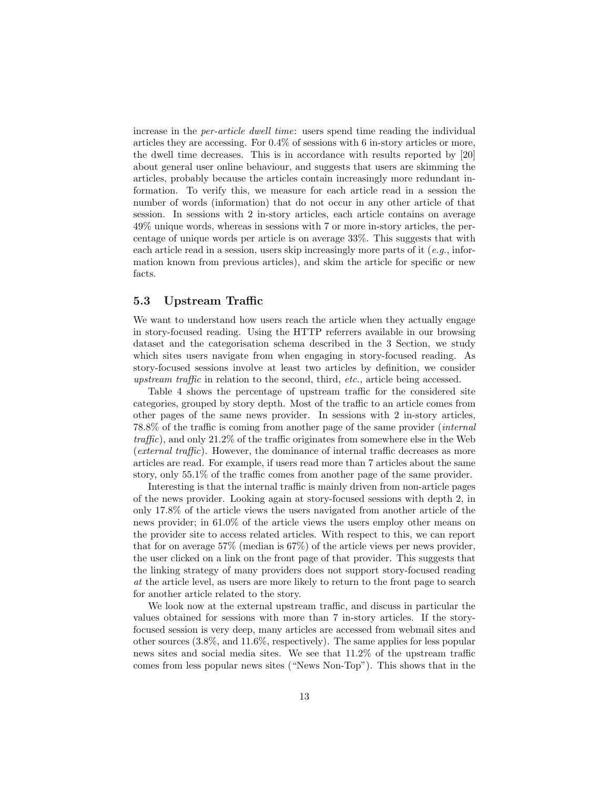increase in the per-article dwell time: users spend time reading the individual articles they are accessing. For 0.4% of sessions with 6 in-story articles or more, the dwell time decreases. This is in accordance with results reported by [20] about general user online behaviour, and suggests that users are skimming the articles, probably because the articles contain increasingly more redundant information. To verify this, we measure for each article read in a session the number of words (information) that do not occur in any other article of that session. In sessions with 2 in-story articles, each article contains on average 49% unique words, whereas in sessions with 7 or more in-story articles, the percentage of unique words per article is on average 33%. This suggests that with each article read in a session, users skip increasingly more parts of it  $(e,q)$ , information known from previous articles), and skim the article for specific or new facts.

### 5.3 Upstream Traffic

We want to understand how users reach the article when they actually engage in story-focused reading. Using the HTTP referrers available in our browsing dataset and the categorisation schema described in the 3 Section, we study which sites users navigate from when engaging in story-focused reading. As story-focused sessions involve at least two articles by definition, we consider upstream traffic in relation to the second, third, etc., article being accessed.

Table 4 shows the percentage of upstream traffic for the considered site categories, grouped by story depth. Most of the traffic to an article comes from other pages of the same news provider. In sessions with 2 in-story articles, 78.8% of the traffic is coming from another page of the same provider (internal traffic), and only 21.2% of the traffic originates from somewhere else in the Web (external traffic). However, the dominance of internal traffic decreases as more articles are read. For example, if users read more than 7 articles about the same story, only 55.1% of the traffic comes from another page of the same provider.

Interesting is that the internal traffic is mainly driven from non-article pages of the news provider. Looking again at story-focused sessions with depth 2, in only 17.8% of the article views the users navigated from another article of the news provider; in 61.0% of the article views the users employ other means on the provider site to access related articles. With respect to this, we can report that for on average 57% (median is 67%) of the article views per news provider, the user clicked on a link on the front page of that provider. This suggests that the linking strategy of many providers does not support story-focused reading at the article level, as users are more likely to return to the front page to search for another article related to the story.

We look now at the external upstream traffic, and discuss in particular the values obtained for sessions with more than 7 in-story articles. If the storyfocused session is very deep, many articles are accessed from webmail sites and other sources (3.8%, and 11.6%, respectively). The same applies for less popular news sites and social media sites. We see that 11.2% of the upstream traffic comes from less popular news sites ("News Non-Top"). This shows that in the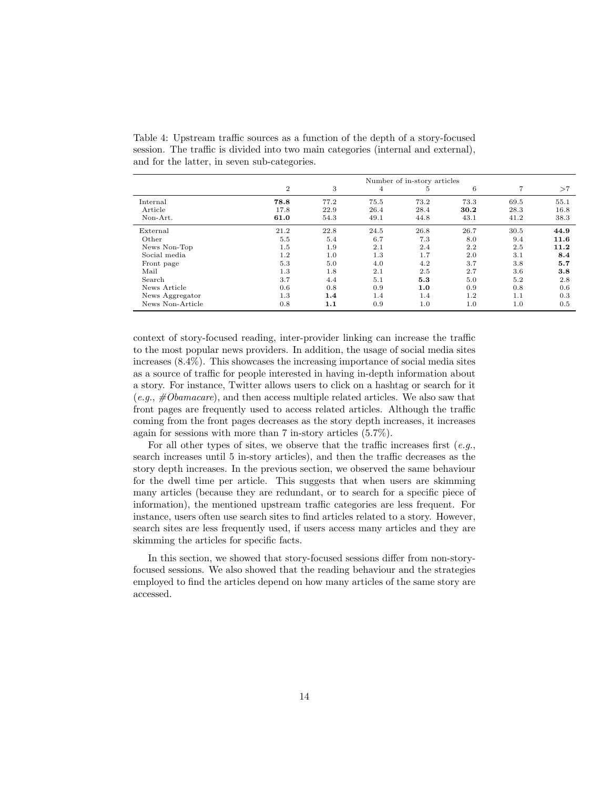|                  | Number of in-story articles |      |                |      |      |                |      |
|------------------|-----------------------------|------|----------------|------|------|----------------|------|
|                  | $\overline{2}$              | 3    | $\overline{4}$ | 5    | 6    | $\overline{7}$ | >7   |
| Internal         | 78.8                        | 77.2 | 75.5           | 73.2 | 73.3 | 69.5           | 55.1 |
| Article          | 17.8                        | 22.9 | 26.4           | 28.4 | 30.2 | 28.3           | 16.8 |
| Non-Art.         | 61.0                        | 54.3 | 49.1           | 44.8 | 43.1 | 41.2           | 38.3 |
| External         | 21.2                        | 22.8 | 24.5           | 26.8 | 26.7 | 30.5           | 44.9 |
| Other            | 5.5                         | 5.4  | 6.7            | 7.3  | 8.0  | 9.4            | 11.6 |
| News Non-Top     | 1.5                         | 1.9  | 2.1            | 2.4  | 2.2  | 2.5            | 11.2 |
| Social media     | 1.2                         | 1.0  | 1.3            | 1.7  | 2.0  | 3.1            | 8.4  |
| Front page       | 5.3                         | 5.0  | 4.0            | 4.2  | 3.7  | 3.8            | 5.7  |
| Mail             | 1.3                         | 1.8  | 2.1            | 2.5  | 2.7  | 3.6            | 3.8  |
| Search           | 3.7                         | 4.4  | 5.1            | 5.3  | 5.0  | 5.2            | 2.8  |
| News Article     | 0.6                         | 0.8  | 0.9            | 1.0  | 0.9  | 0.8            | 0.6  |
| News Aggregator  | 1.3                         | 1.4  | 1.4            | 1.4  | 1.2  | 1.1            | 0.3  |
| News Non-Article | 0.8                         | 1.1  | 0.9            | 1.0  | 1.0  | 1.0            | 0.5  |

Table 4: Upstream traffic sources as a function of the depth of a story-focused session. The traffic is divided into two main categories (internal and external), and for the latter, in seven sub-categories.

context of story-focused reading, inter-provider linking can increase the traffic to the most popular news providers. In addition, the usage of social media sites increases (8.4%). This showcases the increasing importance of social media sites as a source of traffic for people interested in having in-depth information about a story. For instance, Twitter allows users to click on a hashtag or search for it  $(e.g., \#Obamacare)$ , and then access multiple related articles. We also saw that front pages are frequently used to access related articles. Although the traffic coming from the front pages decreases as the story depth increases, it increases again for sessions with more than 7 in-story articles (5.7%).

For all other types of sites, we observe that the traffic increases first  $(e.q.,$ search increases until 5 in-story articles), and then the traffic decreases as the story depth increases. In the previous section, we observed the same behaviour for the dwell time per article. This suggests that when users are skimming many articles (because they are redundant, or to search for a specific piece of information), the mentioned upstream traffic categories are less frequent. For instance, users often use search sites to find articles related to a story. However, search sites are less frequently used, if users access many articles and they are skimming the articles for specific facts.

In this section, we showed that story-focused sessions differ from non-storyfocused sessions. We also showed that the reading behaviour and the strategies employed to find the articles depend on how many articles of the same story are accessed.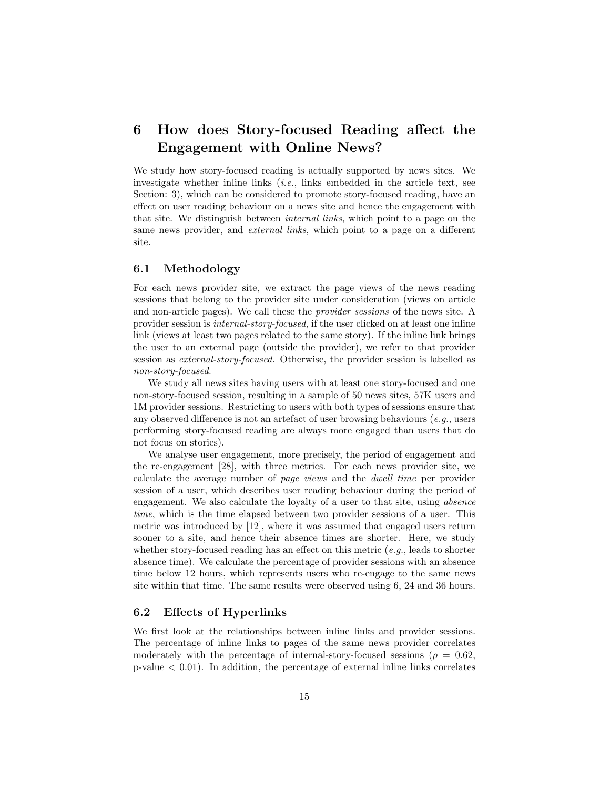## 6 How does Story-focused Reading affect the Engagement with Online News?

We study how story-focused reading is actually supported by news sites. We investigate whether inline links  $(i.e.,$  links embedded in the article text, see Section: 3), which can be considered to promote story-focused reading, have an effect on user reading behaviour on a news site and hence the engagement with that site. We distinguish between internal links, which point to a page on the same news provider, and *external links*, which point to a page on a different site.

### 6.1 Methodology

For each news provider site, we extract the page views of the news reading sessions that belong to the provider site under consideration (views on article and non-article pages). We call these the provider sessions of the news site. A provider session is internal-story-focused, if the user clicked on at least one inline link (views at least two pages related to the same story). If the inline link brings the user to an external page (outside the provider), we refer to that provider session as external-story-focused. Otherwise, the provider session is labelled as non-story-focused.

We study all news sites having users with at least one story-focused and one non-story-focused session, resulting in a sample of 50 news sites, 57K users and 1M provider sessions. Restricting to users with both types of sessions ensure that any observed difference is not an artefact of user browsing behaviours (e.g., users performing story-focused reading are always more engaged than users that do not focus on stories).

We analyse user engagement, more precisely, the period of engagement and the re-engagement [28], with three metrics. For each news provider site, we calculate the average number of page views and the dwell time per provider session of a user, which describes user reading behaviour during the period of engagement. We also calculate the loyalty of a user to that site, using absence time, which is the time elapsed between two provider sessions of a user. This metric was introduced by [12], where it was assumed that engaged users return sooner to a site, and hence their absence times are shorter. Here, we study whether story-focused reading has an effect on this metric  $(e,q)$ , leads to shorter absence time). We calculate the percentage of provider sessions with an absence time below 12 hours, which represents users who re-engage to the same news site within that time. The same results were observed using 6, 24 and 36 hours.

### 6.2 Effects of Hyperlinks

We first look at the relationships between inline links and provider sessions. The percentage of inline links to pages of the same news provider correlates moderately with the percentage of internal-story-focused sessions ( $\rho = 0.62$ ,  $p-value < 0.01$ . In addition, the percentage of external inline links correlates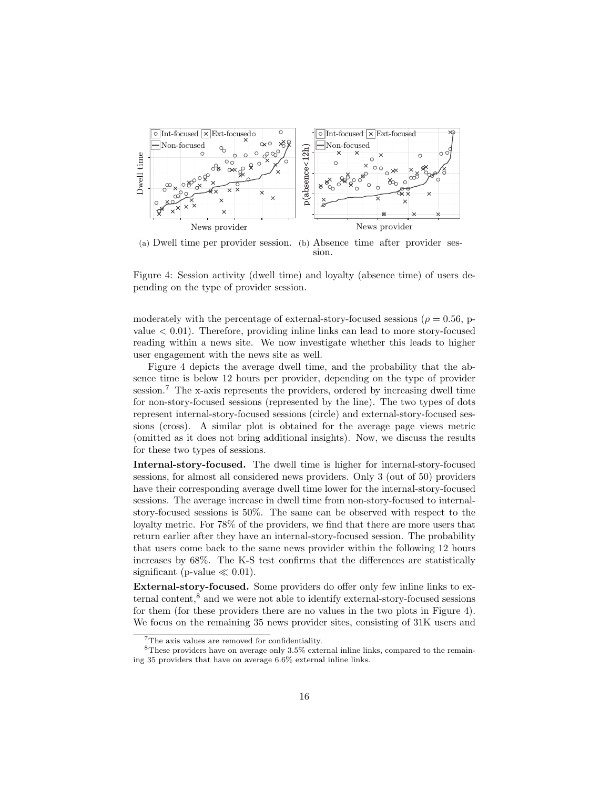

(a) Dwell time per provider session. (b) Absence time after provider session.

Figure 4: Session activity (dwell time) and loyalty (absence time) of users depending on the type of provider session.

moderately with the percentage of external-story-focused sessions ( $\rho = 0.56$ , pvalue < 0.01). Therefore, providing inline links can lead to more story-focused reading within a news site. We now investigate whether this leads to higher user engagement with the news site as well.

Figure 4 depicts the average dwell time, and the probability that the absence time is below 12 hours per provider, depending on the type of provider session.<sup>7</sup> The x-axis represents the providers, ordered by increasing dwell time for non-story-focused sessions (represented by the line). The two types of dots represent internal-story-focused sessions (circle) and external-story-focused sessions (cross). A similar plot is obtained for the average page views metric (omitted as it does not bring additional insights). Now, we discuss the results for these two types of sessions.

Internal-story-focused. The dwell time is higher for internal-story-focused sessions, for almost all considered news providers. Only 3 (out of 50) providers have their corresponding average dwell time lower for the internal-story-focused sessions. The average increase in dwell time from non-story-focused to internalstory-focused sessions is 50%. The same can be observed with respect to the loyalty metric. For 78% of the providers, we find that there are more users that return earlier after they have an internal-story-focused session. The probability that users come back to the same news provider within the following 12 hours increases by 68%. The K-S test confirms that the differences are statistically significant (p-value  $\ll 0.01$ ).

External-story-focused. Some providers do offer only few inline links to external content,<sup>8</sup> and we were not able to identify external-story-focused sessions for them (for these providers there are no values in the two plots in Figure 4). We focus on the remaining 35 news provider sites, consisting of 31K users and

<sup>7</sup>The axis values are removed for confidentiality.

<sup>8</sup>These providers have on average only 3.5% external inline links, compared to the remaining 35 providers that have on average 6.6% external inline links.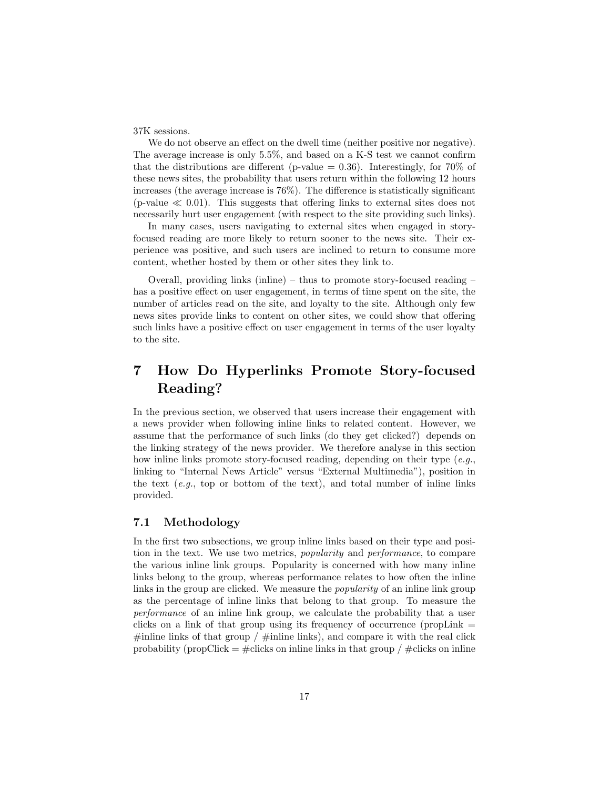37K sessions.

We do not observe an effect on the dwell time (neither positive nor negative). The average increase is only 5.5%, and based on a K-S test we cannot confirm that the distributions are different (p-value  $= 0.36$ ). Interestingly, for 70% of these news sites, the probability that users return within the following 12 hours increases (the average increase is 76%). The difference is statistically significant (p-value  $\ll 0.01$ ). This suggests that offering links to external sites does not necessarily hurt user engagement (with respect to the site providing such links).

In many cases, users navigating to external sites when engaged in storyfocused reading are more likely to return sooner to the news site. Their experience was positive, and such users are inclined to return to consume more content, whether hosted by them or other sites they link to.

Overall, providing links (inline) – thus to promote story-focused reading – has a positive effect on user engagement, in terms of time spent on the site, the number of articles read on the site, and loyalty to the site. Although only few news sites provide links to content on other sites, we could show that offering such links have a positive effect on user engagement in terms of the user loyalty to the site.

## 7 How Do Hyperlinks Promote Story-focused Reading?

In the previous section, we observed that users increase their engagement with a news provider when following inline links to related content. However, we assume that the performance of such links (do they get clicked?) depends on the linking strategy of the news provider. We therefore analyse in this section how inline links promote story-focused reading, depending on their type (e.g., linking to "Internal News Article" versus "External Multimedia"), position in the text (e.g., top or bottom of the text), and total number of inline links provided.

### 7.1 Methodology

In the first two subsections, we group inline links based on their type and position in the text. We use two metrics, popularity and performance, to compare the various inline link groups. Popularity is concerned with how many inline links belong to the group, whereas performance relates to how often the inline links in the group are clicked. We measure the *popularity* of an inline link group as the percentage of inline links that belong to that group. To measure the performance of an inline link group, we calculate the probability that a user clicks on a link of that group using its frequency of occurrence (propLink  $=$  $\#$ inline links of that group /  $\#$ inline links), and compare it with the real click probability (propClick  $=$  #clicks on inline links in that group / #clicks on inline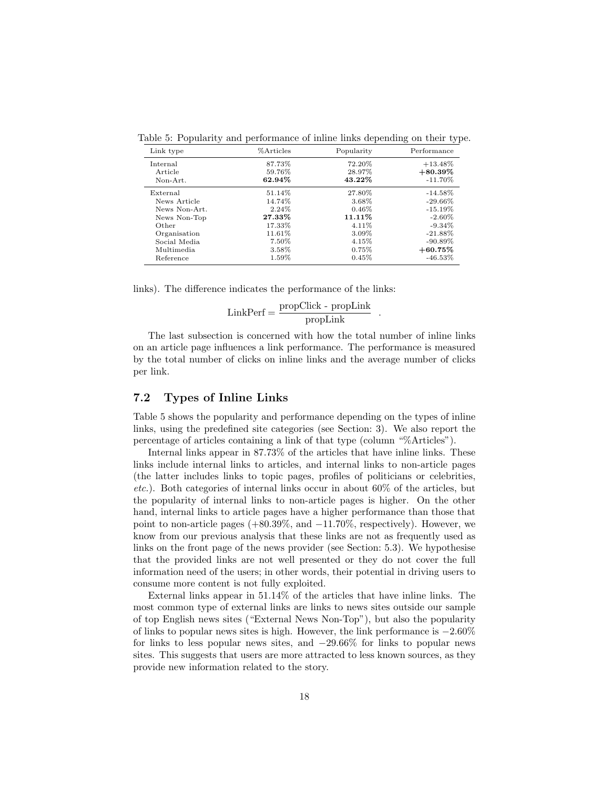| Link type     | %Articles | Popularity | Performance |
|---------------|-----------|------------|-------------|
| Internal      | 87.73%    | 72.20%     | $+13.48\%$  |
| Article       | 59.76%    | 28.97%     | $+80.39\%$  |
| Non-Art.      | 62.94%    | 43.22%     | $-11.70\%$  |
| External      | 51.14%    | 27.80%     | $-14.58\%$  |
| News Article  | 14.74%    | 3.68%      | $-29.66\%$  |
| News Non-Art. | 2.24%     | $0.46\%$   | $-15.19\%$  |
| News Non-Top  | 27.33%    | 11.11%     | $-2.60\%$   |
| Other         | 17.33%    | 4.11%      | $-9.34\%$   |
| Organisation  | 11.61%    | 3.09%      | $-21.88\%$  |
| Social Media  | 7.50%     | 4.15%      | $-90.89\%$  |
| Multimedia    | 3.58%     | $0.75\%$   | $+60.75\%$  |
| Reference     | 1.59%     | 0.45%      | $-46.53\%$  |

Table 5: Popularity and performance of inline links depending on their type.

links). The difference indicates the performance of the links:

$$
LinkPerf = \frac{propClick - propLink}{propLink} .
$$

The last subsection is concerned with how the total number of inline links on an article page influences a link performance. The performance is measured by the total number of clicks on inline links and the average number of clicks per link.

### 7.2 Types of Inline Links

Table 5 shows the popularity and performance depending on the types of inline links, using the predefined site categories (see Section: 3). We also report the percentage of articles containing a link of that type (column "%Articles").

Internal links appear in 87.73% of the articles that have inline links. These links include internal links to articles, and internal links to non-article pages (the latter includes links to topic pages, profiles of politicians or celebrities, etc.). Both categories of internal links occur in about 60% of the articles, but the popularity of internal links to non-article pages is higher. On the other hand, internal links to article pages have a higher performance than those that point to non-article pages  $(+80.39\%, \text{ and } -11.70\%, \text{ respectively})$ . However, we know from our previous analysis that these links are not as frequently used as links on the front page of the news provider (see Section: 5.3). We hypothesise that the provided links are not well presented or they do not cover the full information need of the users; in other words, their potential in driving users to consume more content is not fully exploited.

External links appear in 51.14% of the articles that have inline links. The most common type of external links are links to news sites outside our sample of top English news sites ("External News Non-Top"), but also the popularity of links to popular news sites is high. However, the link performance is  $-2.60\%$ for links to less popular news sites, and −29.66% for links to popular news sites. This suggests that users are more attracted to less known sources, as they provide new information related to the story.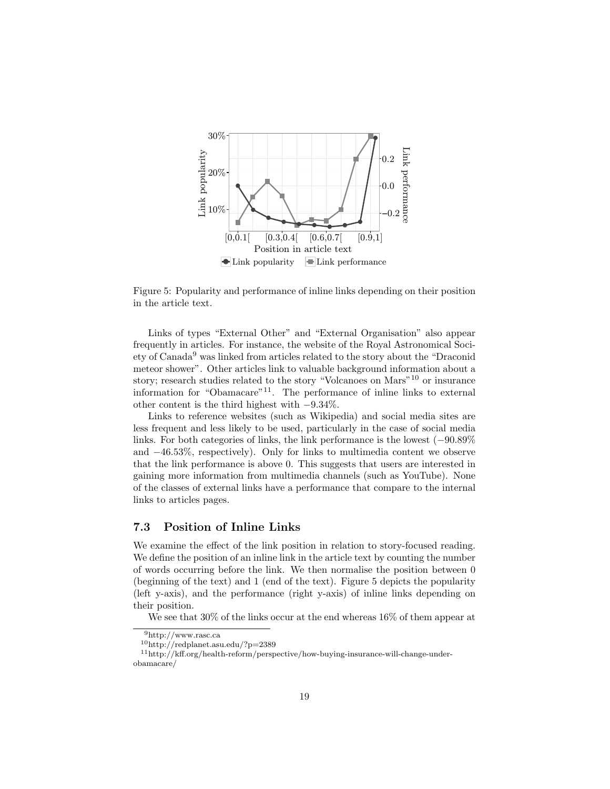

Figure 5: Popularity and performance of inline links depending on their position in the article text.

Links of types "External Other" and "External Organisation" also appear frequently in articles. For instance, the website of the Royal Astronomical Society of Canada<sup>9</sup> was linked from articles related to the story about the "Draconid meteor shower". Other articles link to valuable background information about a story; research studies related to the story "Volcanoes on Mars"<sup>10</sup> or insurance information for "Obamacare"11. The performance of inline links to external other content is the third highest with −9.34%.

Links to reference websites (such as Wikipedia) and social media sites are less frequent and less likely to be used, particularly in the case of social media links. For both categories of links, the link performance is the lowest (−90.89% and −46.53%, respectively). Only for links to multimedia content we observe that the link performance is above 0. This suggests that users are interested in gaining more information from multimedia channels (such as YouTube). None of the classes of external links have a performance that compare to the internal links to articles pages.

### 7.3 Position of Inline Links

We examine the effect of the link position in relation to story-focused reading. We define the position of an inline link in the article text by counting the number of words occurring before the link. We then normalise the position between 0 (beginning of the text) and 1 (end of the text). Figure 5 depicts the popularity (left y-axis), and the performance (right y-axis) of inline links depending on their position.

We see that 30% of the links occur at the end whereas 16% of them appear at

 $^9{\rm http://www.rasc.ca}$ 

<sup>10</sup>http://redplanet.asu.edu/?p=2389

<sup>11</sup>http://kff.org/health-reform/perspective/how-buying-insurance-will-change-underobamacare/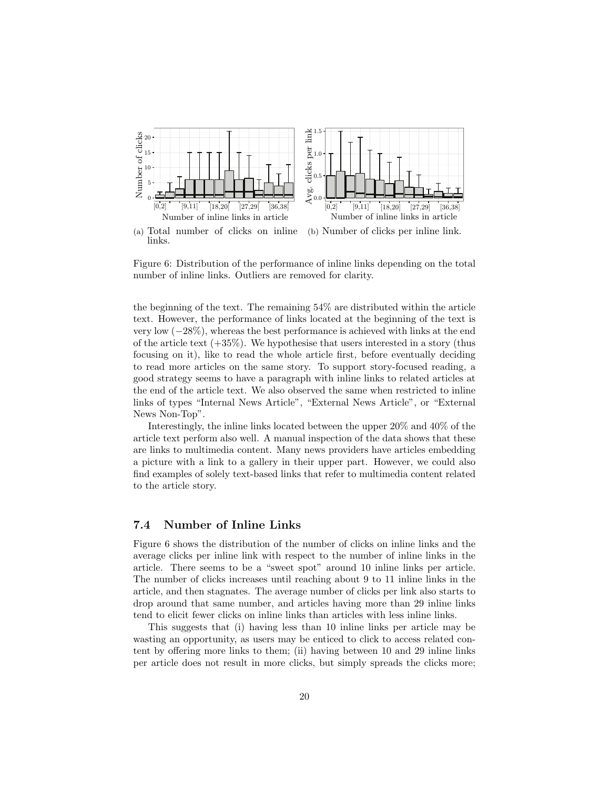

(a) Total number of clicks on inline links. (b) Number of clicks per inline link.

Figure 6: Distribution of the performance of inline links depending on the total number of inline links. Outliers are removed for clarity.

the beginning of the text. The remaining 54% are distributed within the article text. However, the performance of links located at the beginning of the text is very low (−28%), whereas the best performance is achieved with links at the end of the article text  $(+35\%)$ . We hypothesise that users interested in a story (thus focusing on it), like to read the whole article first, before eventually deciding to read more articles on the same story. To support story-focused reading, a good strategy seems to have a paragraph with inline links to related articles at the end of the article text. We also observed the same when restricted to inline links of types "Internal News Article", "External News Article", or "External News Non-Top".

Interestingly, the inline links located between the upper 20% and 40% of the article text perform also well. A manual inspection of the data shows that these are links to multimedia content. Many news providers have articles embedding a picture with a link to a gallery in their upper part. However, we could also find examples of solely text-based links that refer to multimedia content related to the article story.

### 7.4 Number of Inline Links

Figure 6 shows the distribution of the number of clicks on inline links and the average clicks per inline link with respect to the number of inline links in the article. There seems to be a "sweet spot" around 10 inline links per article. The number of clicks increases until reaching about 9 to 11 inline links in the article, and then stagnates. The average number of clicks per link also starts to drop around that same number, and articles having more than 29 inline links tend to elicit fewer clicks on inline links than articles with less inline links.

This suggests that (i) having less than 10 inline links per article may be wasting an opportunity, as users may be enticed to click to access related content by offering more links to them; (ii) having between 10 and 29 inline links per article does not result in more clicks, but simply spreads the clicks more;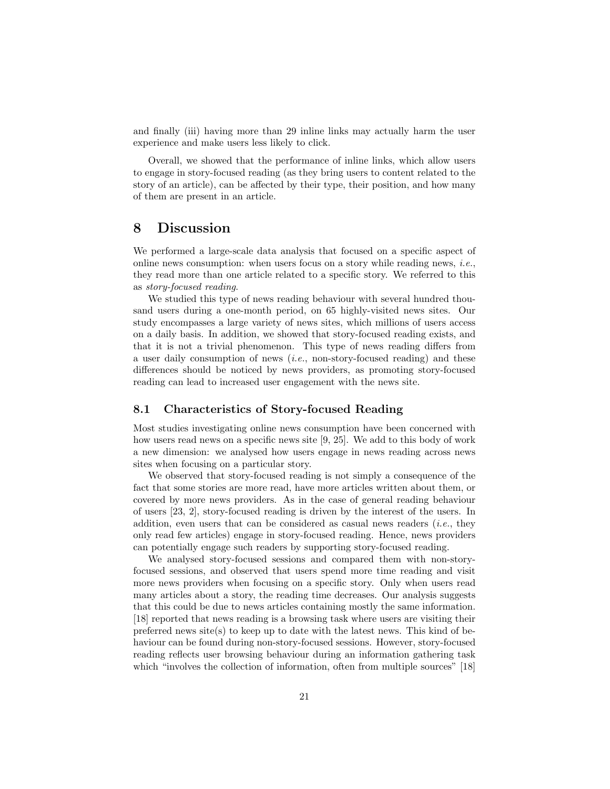and finally (iii) having more than 29 inline links may actually harm the user experience and make users less likely to click.

Overall, we showed that the performance of inline links, which allow users to engage in story-focused reading (as they bring users to content related to the story of an article), can be affected by their type, their position, and how many of them are present in an article.

### 8 Discussion

We performed a large-scale data analysis that focused on a specific aspect of online news consumption: when users focus on a story while reading news, *i.e.*, they read more than one article related to a specific story. We referred to this as story-focused reading.

We studied this type of news reading behaviour with several hundred thousand users during a one-month period, on 65 highly-visited news sites. Our study encompasses a large variety of news sites, which millions of users access on a daily basis. In addition, we showed that story-focused reading exists, and that it is not a trivial phenomenon. This type of news reading differs from a user daily consumption of news (i.e., non-story-focused reading) and these differences should be noticed by news providers, as promoting story-focused reading can lead to increased user engagement with the news site.

### 8.1 Characteristics of Story-focused Reading

Most studies investigating online news consumption have been concerned with how users read news on a specific news site [9, 25]. We add to this body of work a new dimension: we analysed how users engage in news reading across news sites when focusing on a particular story.

We observed that story-focused reading is not simply a consequence of the fact that some stories are more read, have more articles written about them, or covered by more news providers. As in the case of general reading behaviour of users [23, 2], story-focused reading is driven by the interest of the users. In addition, even users that can be considered as casual news readers (i.e., they only read few articles) engage in story-focused reading. Hence, news providers can potentially engage such readers by supporting story-focused reading.

We analysed story-focused sessions and compared them with non-storyfocused sessions, and observed that users spend more time reading and visit more news providers when focusing on a specific story. Only when users read many articles about a story, the reading time decreases. Our analysis suggests that this could be due to news articles containing mostly the same information. [18] reported that news reading is a browsing task where users are visiting their preferred news site(s) to keep up to date with the latest news. This kind of behaviour can be found during non-story-focused sessions. However, story-focused reading reflects user browsing behaviour during an information gathering task which "involves the collection of information, often from multiple sources" [18]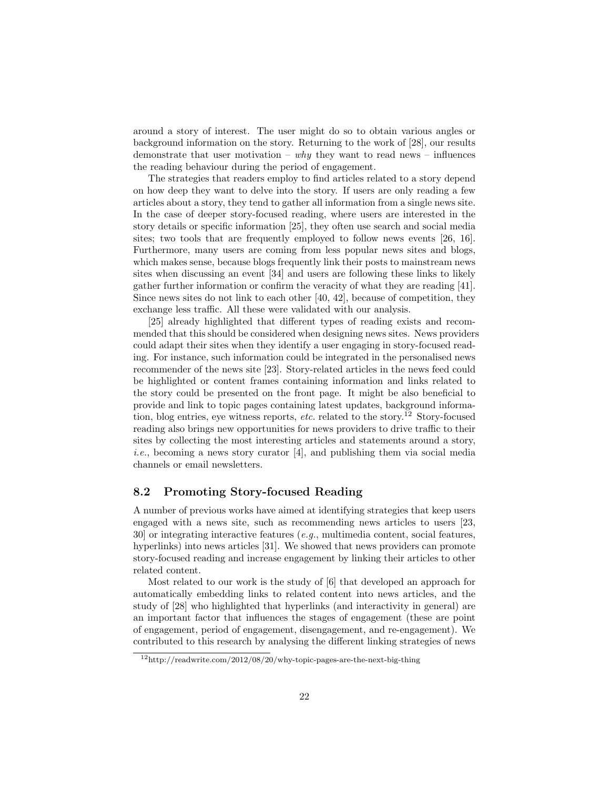around a story of interest. The user might do so to obtain various angles or background information on the story. Returning to the work of [28], our results demonstrate that user motivation – why they want to read news – influences the reading behaviour during the period of engagement.

The strategies that readers employ to find articles related to a story depend on how deep they want to delve into the story. If users are only reading a few articles about a story, they tend to gather all information from a single news site. In the case of deeper story-focused reading, where users are interested in the story details or specific information [25], they often use search and social media sites; two tools that are frequently employed to follow news events [26, 16]. Furthermore, many users are coming from less popular news sites and blogs, which makes sense, because blogs frequently link their posts to mainstream news sites when discussing an event [34] and users are following these links to likely gather further information or confirm the veracity of what they are reading [41]. Since news sites do not link to each other [40, 42], because of competition, they exchange less traffic. All these were validated with our analysis.

[25] already highlighted that different types of reading exists and recommended that this should be considered when designing news sites. News providers could adapt their sites when they identify a user engaging in story-focused reading. For instance, such information could be integrated in the personalised news recommender of the news site [23]. Story-related articles in the news feed could be highlighted or content frames containing information and links related to the story could be presented on the front page. It might be also beneficial to provide and link to topic pages containing latest updates, background information, blog entries, eye witness reports, *etc.* related to the story.<sup>12</sup> Story-focused reading also brings new opportunities for news providers to drive traffic to their sites by collecting the most interesting articles and statements around a story, *i.e.*, becoming a news story curator [4], and publishing them via social media channels or email newsletters.

#### 8.2 Promoting Story-focused Reading

A number of previous works have aimed at identifying strategies that keep users engaged with a news site, such as recommending news articles to users [23, 30] or integrating interactive features (e.g., multimedia content, social features, hyperlinks) into news articles [31]. We showed that news providers can promote story-focused reading and increase engagement by linking their articles to other related content.

Most related to our work is the study of [6] that developed an approach for automatically embedding links to related content into news articles, and the study of [28] who highlighted that hyperlinks (and interactivity in general) are an important factor that influences the stages of engagement (these are point of engagement, period of engagement, disengagement, and re-engagement). We contributed to this research by analysing the different linking strategies of news

 $12$ http://readwrite.com/2012/08/20/why-topic-pages-are-the-next-big-thing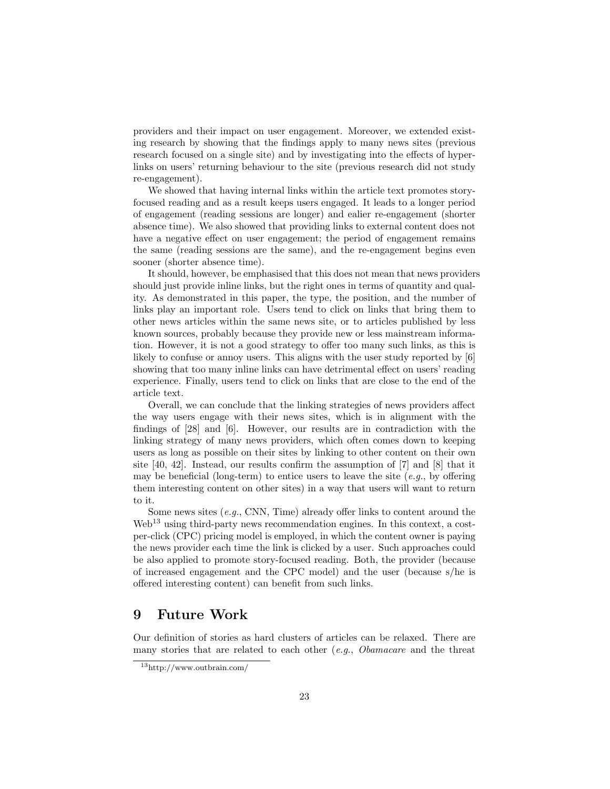providers and their impact on user engagement. Moreover, we extended existing research by showing that the findings apply to many news sites (previous research focused on a single site) and by investigating into the effects of hyperlinks on users' returning behaviour to the site (previous research did not study re-engagement).

We showed that having internal links within the article text promotes storyfocused reading and as a result keeps users engaged. It leads to a longer period of engagement (reading sessions are longer) and ealier re-engagement (shorter absence time). We also showed that providing links to external content does not have a negative effect on user engagement; the period of engagement remains the same (reading sessions are the same), and the re-engagement begins even sooner (shorter absence time).

It should, however, be emphasised that this does not mean that news providers should just provide inline links, but the right ones in terms of quantity and quality. As demonstrated in this paper, the type, the position, and the number of links play an important role. Users tend to click on links that bring them to other news articles within the same news site, or to articles published by less known sources, probably because they provide new or less mainstream information. However, it is not a good strategy to offer too many such links, as this is likely to confuse or annoy users. This aligns with the user study reported by [6] showing that too many inline links can have detrimental effect on users' reading experience. Finally, users tend to click on links that are close to the end of the article text.

Overall, we can conclude that the linking strategies of news providers affect the way users engage with their news sites, which is in alignment with the findings of [28] and [6]. However, our results are in contradiction with the linking strategy of many news providers, which often comes down to keeping users as long as possible on their sites by linking to other content on their own site [40, 42]. Instead, our results confirm the assumption of [7] and [8] that it may be beneficial (long-term) to entice users to leave the site (e.g., by offering them interesting content on other sites) in a way that users will want to return to it.

Some news sites  $(e.g., \text{CNN}, \text{Time})$  already offer links to content around the Web<sup>13</sup> using third-party news recommendation engines. In this context, a costper-click (CPC) pricing model is employed, in which the content owner is paying the news provider each time the link is clicked by a user. Such approaches could be also applied to promote story-focused reading. Both, the provider (because of increased engagement and the CPC model) and the user (because s/he is offered interesting content) can benefit from such links.

## 9 Future Work

Our definition of stories as hard clusters of articles can be relaxed. There are many stories that are related to each other  $(e.g., Oba macare$  and the threat

<sup>13</sup>http://www.outbrain.com/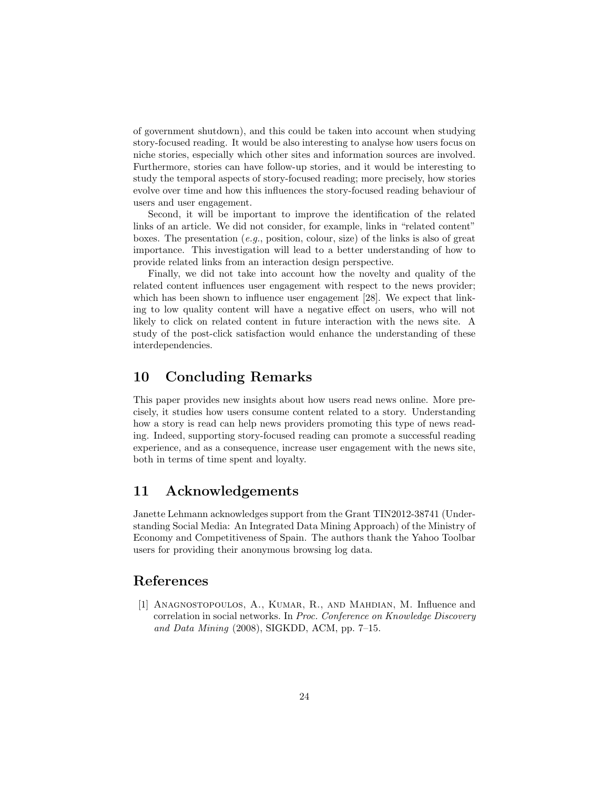of government shutdown), and this could be taken into account when studying story-focused reading. It would be also interesting to analyse how users focus on niche stories, especially which other sites and information sources are involved. Furthermore, stories can have follow-up stories, and it would be interesting to study the temporal aspects of story-focused reading; more precisely, how stories evolve over time and how this influences the story-focused reading behaviour of users and user engagement.

Second, it will be important to improve the identification of the related links of an article. We did not consider, for example, links in "related content" boxes. The presentation (e.g., position, colour, size) of the links is also of great importance. This investigation will lead to a better understanding of how to provide related links from an interaction design perspective.

Finally, we did not take into account how the novelty and quality of the related content influences user engagement with respect to the news provider; which has been shown to influence user engagement [28]. We expect that linking to low quality content will have a negative effect on users, who will not likely to click on related content in future interaction with the news site. A study of the post-click satisfaction would enhance the understanding of these interdependencies.

## 10 Concluding Remarks

This paper provides new insights about how users read news online. More precisely, it studies how users consume content related to a story. Understanding how a story is read can help news providers promoting this type of news reading. Indeed, supporting story-focused reading can promote a successful reading experience, and as a consequence, increase user engagement with the news site, both in terms of time spent and loyalty.

## 11 Acknowledgements

Janette Lehmann acknowledges support from the Grant TIN2012-38741 (Understanding Social Media: An Integrated Data Mining Approach) of the Ministry of Economy and Competitiveness of Spain. The authors thank the Yahoo Toolbar users for providing their anonymous browsing log data.

## References

[1] Anagnostopoulos, A., Kumar, R., and Mahdian, M. Influence and correlation in social networks. In Proc. Conference on Knowledge Discovery and Data Mining (2008), SIGKDD, ACM, pp. 7–15.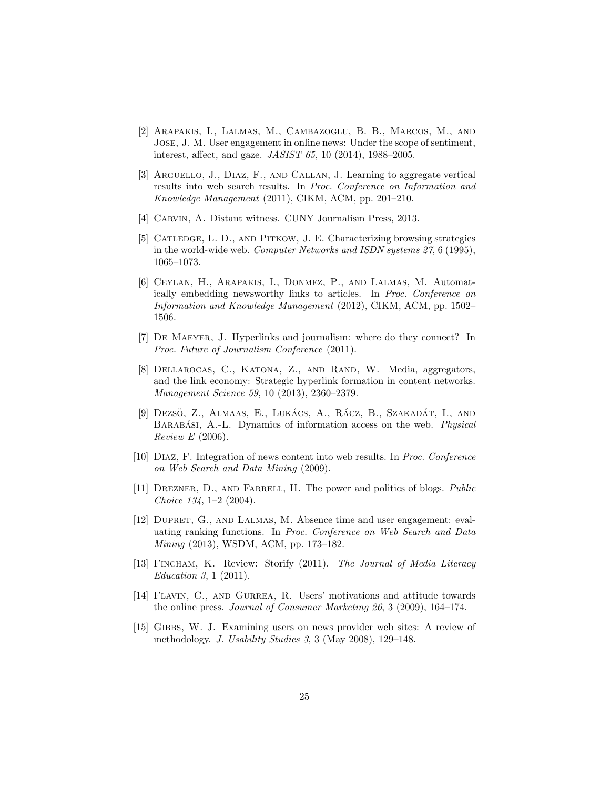- [2] Arapakis, I., Lalmas, M., Cambazoglu, B. B., Marcos, M., and Jose, J. M. User engagement in online news: Under the scope of sentiment, interest, affect, and gaze. JASIST 65, 10 (2014), 1988–2005.
- [3] Arguello, J., Diaz, F., and Callan, J. Learning to aggregate vertical results into web search results. In Proc. Conference on Information and Knowledge Management (2011), CIKM, ACM, pp. 201–210.
- [4] CARVIN, A. Distant witness. CUNY Journalism Press, 2013.
- [5] Catledge, L. D., and Pitkow, J. E. Characterizing browsing strategies in the world-wide web. Computer Networks and ISDN systems 27, 6 (1995), 1065–1073.
- [6] Ceylan, H., Arapakis, I., Donmez, P., and Lalmas, M. Automatically embedding newsworthy links to articles. In Proc. Conference on Information and Knowledge Management (2012), CIKM, ACM, pp. 1502– 1506.
- [7] De Maeyer, J. Hyperlinks and journalism: where do they connect? In Proc. Future of Journalism Conference (2011).
- [8] Dellarocas, C., Katona, Z., and Rand, W. Media, aggregators, and the link economy: Strategic hyperlink formation in content networks. Management Science 59, 10 (2013), 2360–2379.
- $[9]$  Dezsö, Z., Almaas, E., Lukács, A., Rácz, B., Szakadát, I., and BARABÁSI, A.-L. Dynamics of information access on the web. *Physical* Review E (2006).
- [10] Diaz, F. Integration of news content into web results. In Proc. Conference on Web Search and Data Mining (2009).
- [11] DREZNER, D., AND FARRELL, H. The power and politics of blogs. *Public* Choice 134, 1–2 (2004).
- [12] DUPRET, G., AND LALMAS, M. Absence time and user engagement: evaluating ranking functions. In Proc. Conference on Web Search and Data Mining (2013), WSDM, ACM, pp. 173–182.
- [13] FINCHAM, K. Review: Storify (2011). The Journal of Media Literacy Education 3, 1 (2011).
- [14] FLAVIN, C., AND GURREA, R. Users' motivations and attitude towards the online press. Journal of Consumer Marketing 26, 3 (2009), 164–174.
- [15] Gibbs, W. J. Examining users on news provider web sites: A review of methodology. J. Usability Studies 3, 3 (May 2008), 129–148.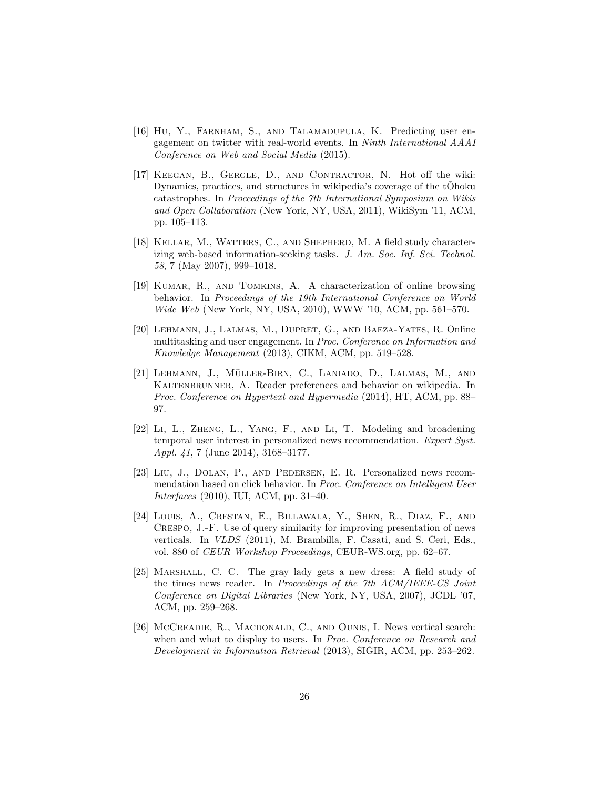- [16] Hu, Y., FARNHAM, S., AND TALAMADUPULA, K. Predicting user engagement on twitter with real-world events. In Ninth International AAAI Conference on Web and Social Media (2015).
- [17] KEEGAN, B., GERGLE, D., AND CONTRACTOR, N. Hot off the wiki: Dynamics, practices, and structures in wikipedia's coverage of the  $t\bar{O}$ hoku catastrophes. In Proceedings of the 7th International Symposium on Wikis and Open Collaboration (New York, NY, USA, 2011), WikiSym '11, ACM, pp. 105–113.
- [18] KELLAR, M., WATTERS, C., AND SHEPHERD, M. A field study characterizing web-based information-seeking tasks. J. Am. Soc. Inf. Sci. Technol. 58, 7 (May 2007), 999–1018.
- [19] Kumar, R., and Tomkins, A. A characterization of online browsing behavior. In Proceedings of the 19th International Conference on World Wide Web (New York, NY, USA, 2010), WWW '10, ACM, pp. 561–570.
- [20] Lehmann, J., Lalmas, M., Dupret, G., and Baeza-Yates, R. Online multitasking and user engagement. In Proc. Conference on Information and Knowledge Management (2013), CIKM, ACM, pp. 519–528.
- [21] Lehmann, J., Muller-Birn, C., Laniado, D., Lalmas, M., and ¨ KALTENBRUNNER, A. Reader preferences and behavior on wikipedia. In Proc. Conference on Hypertext and Hypermedia (2014), HT, ACM, pp. 88– 97.
- [22] Li, L., Zheng, L., Yang, F., and Li, T. Modeling and broadening temporal user interest in personalized news recommendation. Expert Syst. Appl. 41, 7 (June 2014), 3168–3177.
- [23] Liu, J., Dolan, P., and Pedersen, E. R. Personalized news recommendation based on click behavior. In Proc. Conference on Intelligent User Interfaces (2010), IUI, ACM, pp. 31–40.
- [24] Louis, A., Crestan, E., Billawala, Y., Shen, R., Diaz, F., and Crespo, J.-F. Use of query similarity for improving presentation of news verticals. In VLDS (2011), M. Brambilla, F. Casati, and S. Ceri, Eds., vol. 880 of CEUR Workshop Proceedings, CEUR-WS.org, pp. 62–67.
- [25] Marshall, C. C. The gray lady gets a new dress: A field study of the times news reader. In Proceedings of the 7th ACM/IEEE-CS Joint Conference on Digital Libraries (New York, NY, USA, 2007), JCDL '07, ACM, pp. 259–268.
- [26] McCreadie, R., MacDonald, C., and Ounis, I. News vertical search: when and what to display to users. In *Proc. Conference on Research and* Development in Information Retrieval (2013), SIGIR, ACM, pp. 253–262.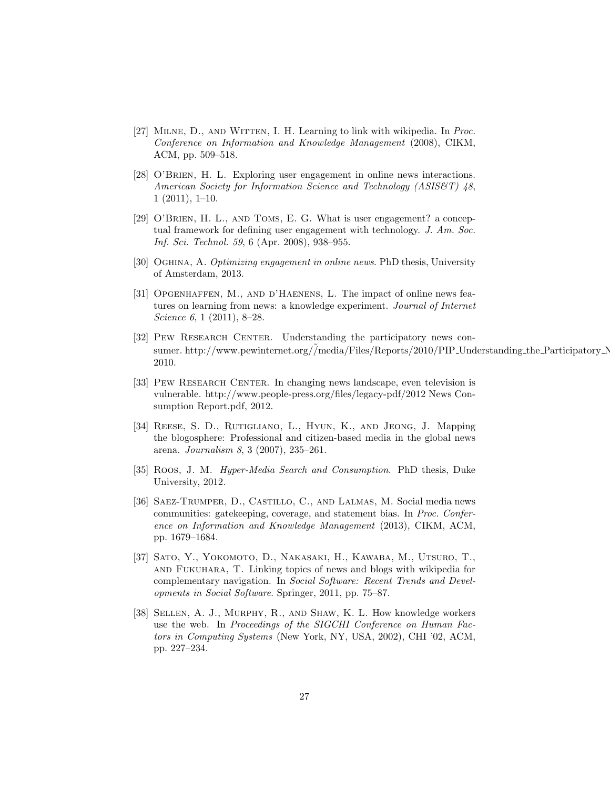- [27] MILNE, D., AND WITTEN, I. H. Learning to link with wikipedia. In Proc. Conference on Information and Knowledge Management (2008), CIKM, ACM, pp. 509–518.
- [28] O'BRIEN, H. L. Exploring user engagement in online news interactions. American Society for Information Science and Technology (ASIS&T) 48, 1 (2011), 1–10.
- [29] O'BRIEN, H. L., AND TOMS, E. G. What is user engagement? a conceptual framework for defining user engagement with technology. J. Am. Soc. Inf. Sci. Technol. 59, 6 (Apr. 2008), 938–955.
- [30] OGHINA, A. Optimizing engagement in online news. PhD thesis, University of Amsterdam, 2013.
- [31] OPGENHAFFEN, M., AND D'HAENENS, L. The impact of online news features on learning from news: a knowledge experiment. Journal of Internet Science 6, 1 (2011), 8-28.
- [32] Pew Research Center. Understanding the participatory news consumer. http://www.pewinternet.org//media/Files/Reports/2010/PIP Understanding the Participatory News Consumer. 2010.
- [33] PEW RESEARCH CENTER. In changing news landscape, even television is vulnerable. http://www.people-press.org/files/legacy-pdf/2012 News Consumption Report.pdf, 2012.
- [34] Reese, S. D., Rutigliano, L., Hyun, K., and Jeong, J. Mapping the blogosphere: Professional and citizen-based media in the global news arena. Journalism 8, 3 (2007), 235–261.
- [35] Roos, J. M. *Hyper-Media Search and Consumption*. PhD thesis, Duke University, 2012.
- [36] Saez-Trumper, D., Castillo, C., and Lalmas, M. Social media news communities: gatekeeping, coverage, and statement bias. In Proc. Conference on Information and Knowledge Management (2013), CIKM, ACM, pp. 1679–1684.
- [37] Sato, Y., Yokomoto, D., Nakasaki, H., Kawaba, M., Utsuro, T., and Fukuhara, T. Linking topics of news and blogs with wikipedia for complementary navigation. In Social Software: Recent Trends and Developments in Social Software. Springer, 2011, pp. 75–87.
- [38] Sellen, A. J., Murphy, R., and Shaw, K. L. How knowledge workers use the web. In Proceedings of the SIGCHI Conference on Human Factors in Computing Systems (New York, NY, USA, 2002), CHI '02, ACM, pp. 227–234.